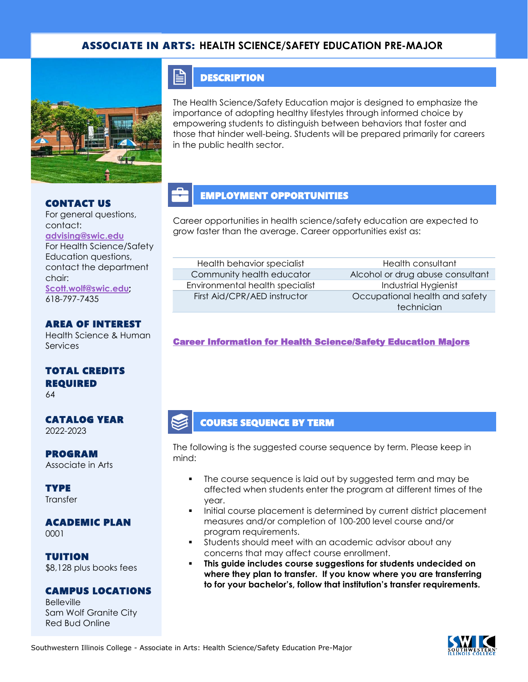## ASSOCIATE IN ARTS: **HEALTH SCIENCE/SAFETY EDUCATION PRE-MAJOR**



#### CONTACT US

For general questions, contact: **[advising@swic.edu](mailto:advising@swic.edu)** For Health Science/Safety Education questions, contact the department chair: **[Scott.wolf@swic.edu;](mailto:Scott.wolf@swic.edu)** 618-797-7435

#### AREA OF INTEREST

Health Science & Human Services

## TOTAL CREDITS REQUIRED

64

#### CATALOG YEAR 2022-2023

PROGRAM Associate in Arts

**TYPE Transfer** 

#### ACADEMIC PLAN 0001

TUITION \$8,128 plus books fees

## CAMPUS LOCATIONS

Belleville Sam Wolf Granite City Red Bud Online

## **DESCRIPTION**

E

The Health Science/Safety Education major is designed to emphasize the importance of adopting healthy lifestyles through informed choice by empowering students to distinguish between behaviors that foster and those that hinder well-being. Students will be prepared primarily for careers in the public health sector.

## EMPLOYMENT OPPORTUNITIES

Career opportunities in health science/safety education are expected to grow faster than the average. Career opportunities exist as:

# Health behavior specialist Health consultant Environmental health specialist **Industrial Hygienist**

Community health educator Alcohol or drug abuse consultant First Aid/CPR/AED instructor **Communist COCCUpational health and safety** technician

### [Career Information for Health Science/Safety Education Majors](https://www.onetonline.org/find/quick?s=health+science)

## COURSE SEQUENCE BY TERM

The following is the suggested course sequence by term. Please keep in mind:

- The course sequence is laid out by suggested term and may be affected when students enter the program at different times of the year.
- Initial course placement is determined by current district placement measures and/or completion of 100-200 level course and/or program requirements.
- Students should meet with an academic advisor about any concerns that may affect course enrollment.
- **This guide includes course suggestions for students undecided on where they plan to transfer. If you know where you are transferring to for your bachelor's, follow that institution's transfer requirements.**